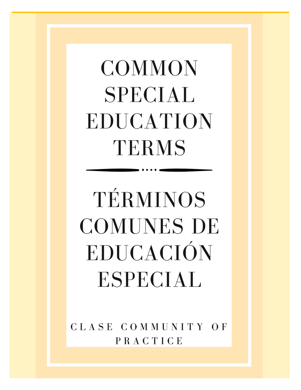## **COMMON SPECIAL** EDUCATION TERMS

# TÉRMINOS **COMUNES DE** EDUCACIÓN **ESPECIAL**

CLASE COMMUNITY OF PRACTICE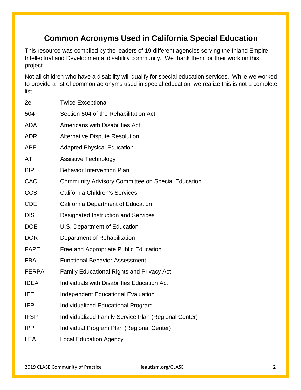#### **Common Acronyms Used in California Special Education**

This resource was compiled by the leaders of 19 different agencies serving the Inland Empire Intellectual and Developmental disability community. We thank them for their work on this project.

Not all children who have a disability will qualify for special education services. While we worked to provide a list of common acronyms used in special education, we realize this is not a complete list.

| 2e           | <b>Twice Exceptional</b>                                 |  |
|--------------|----------------------------------------------------------|--|
| 504          | Section 504 of the Rehabilitation Act                    |  |
| <b>ADA</b>   | <b>Americans with Disabilities Act</b>                   |  |
| <b>ADR</b>   | <b>Alternative Dispute Resolution</b>                    |  |
| <b>APE</b>   | <b>Adapted Physical Education</b>                        |  |
| <b>AT</b>    | <b>Assistive Technology</b>                              |  |
| <b>BIP</b>   | <b>Behavior Intervention Plan</b>                        |  |
| CAC          | <b>Community Advisory Committee on Special Education</b> |  |
| <b>CCS</b>   | <b>California Children's Services</b>                    |  |
| <b>CDE</b>   | California Department of Education                       |  |
| <b>DIS</b>   | Designated Instruction and Services                      |  |
| <b>DOE</b>   | U.S. Department of Education                             |  |
| <b>DOR</b>   | Department of Rehabilitation                             |  |
| <b>FAPE</b>  | Free and Appropriate Public Education                    |  |
| <b>FBA</b>   | <b>Functional Behavior Assessment</b>                    |  |
| <b>FERPA</b> | <b>Family Educational Rights and Privacy Act</b>         |  |
| <b>IDEA</b>  | Individuals with Disabilities Education Act              |  |
| <b>IEE</b>   | <b>Independent Educational Evaluation</b>                |  |
| <b>IEP</b>   | <b>Individualized Educational Program</b>                |  |
| <b>IFSP</b>  | Individualized Family Service Plan (Regional Center)     |  |
| <b>IPP</b>   | Individual Program Plan (Regional Center)                |  |
| <b>LEA</b>   | <b>Local Education Agency</b>                            |  |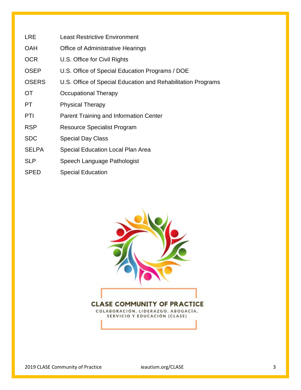| <b>LRE</b> | <b>Least Restrictive Environment</b> |  |
|------------|--------------------------------------|--|
|            |                                      |  |

- OAH Office of Administrative Hearings
- OCR U.S. Office for Civil Rights
- OSEP U.S. Office of Special Education Programs / DOE
- OSERS U.S. Office of Special Education and Rehabilitation Programs
- OT Occupational Therapy
- PT Physical Therapy
- PTI Parent Training and Information Center
- RSP Resource Specialist Program
- SDC Special Day Class
- SELPA Special Education Local Plan Area
- SLP Speech Language Pathologist
- SPED Special Education

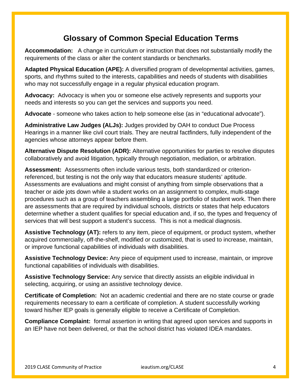#### **Glossary of Common Special Education Terms**

**Accommodation:** A change in curriculum or instruction that does not substantially modify the requirements of the class or alter the content standards or benchmarks.

**Adapted Physical Education (APE):** A diversified program of developmental activities, games, sports, and rhythms suited to the interests, capabilities and needs of students with disabilities who may not successfully engage in a regular physical education program.

**Advocacy:** Advocacy is when you or someone else actively represents and supports your needs and interests so you can get the services and supports you need.

**Advocate** - someone who takes action to help someone else (as in "educational advocate").

**Administrative Law Judges (ALJs):** Judges provided by OAH to conduct Due Process Hearings in a manner like civil court trials. They are neutral factfinders, fully independent of the agencies whose attorneys appear before them.

**Alternative Dispute Resolution (ADR):** Alternative opportunities for parties to resolve disputes collaboratively and avoid litigation, typically through negotiation, mediation, or arbitration.

**Assessment:** Assessments often include various tests, both standardized or criterionreferenced, but testing is not the only way that educators measure students' aptitude. Assessments are evaluations and might consist of anything from simple observations that a teacher or aide jots down while a student works on an assignment to complex, multi-stage procedures such as a group of teachers assembling a large portfolio of student work. Then there are assessments that are required by individual schools, districts or states that help educators determine whether a student qualifies for special education and, if so, the types and frequency of services that will best support a student's success. This is not a medical diagnosis.

**Assistive Technology (AT):** refers to any item, piece of equipment, or product system, whether acquired commercially, off-the-shelf, modified or customized, that is used to increase, maintain, or improve functional capabilities of individuals with disabilities.

**Assistive Technology Device:** Any piece of equipment used to increase, maintain, or improve functional capabilities of individuals with disabilities.

**Assistive Technology Service:** Any service that directly assists an eligible individual in selecting, acquiring, or using an assistive technology device.

**Certificate of Completion:** Not an academic credential and there are no state course or grade requirements necessary to earn a certificate of completion. A student successfully working toward his/her IEP goals is generally eligible to receive a Certificate of Completion.

**Compliance Complaint:** formal assertion in writing that agreed upon services and supports in an IEP have not been delivered, or that the school district has violated IDEA mandates.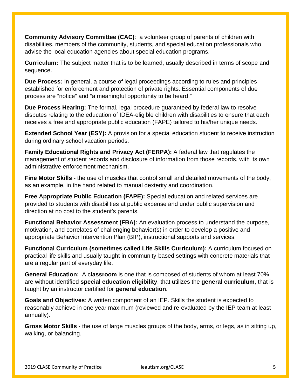**Community Advisory Committee (CAC)**: a volunteer group of parents of children with disabilities, members of the community, students, and special education professionals who advise the local education agencies about special education programs.

**Curriculum:** The subject matter that is to be learned, usually described in terms of scope and sequence.

**Due Process:** In general, a course of legal proceedings according to rules and principles established for enforcement and protection of private rights. Essential components of due process are "notice" and "a meaningful opportunity to be heard."

**Due Process Hearing:** The formal, legal procedure guaranteed by federal law to resolve disputes relating to the education of IDEA-eligible children with disabilities to ensure that each receives a free and appropriate public education (FAPE) tailored to his/her unique needs.

**Extended School Year (ESY):** A provision for a special education student to receive instruction during ordinary school vacation periods.

**Family Educational Rights and Privacy Act (FERPA):** A federal law that regulates the management of student records and disclosure of information from those records, with its own administrative enforcement mechanism.

**Fine Motor Skills** - the use of muscles that control small and detailed movements of the body, as an example, in the hand related to manual dexterity and coordination.

**Free Appropriate Public Education (FAPE):** Special education and related services are provided to students with disabilities at public expense and under public supervision and direction at no cost to the student's parents.

**Functional Behavior Assessment (FBA):** An evaluation process to understand the purpose, motivation, and correlates of challenging behavior(s) in order to develop a positive and appropriate Behavior Intervention Plan (BIP), instructional supports and services.

**Functional Curriculum (sometimes called Life Skills Curriculum):** A curriculum focused on practical life skills and usually taught in community-based settings with concrete materials that are a regular part of everyday life.

**General Education:** A c**lassroom** is one that is composed of students of whom at least 70% are without identified **special education eligibility**, that utilizes the **general curriculum**, that is taught by an instructor certified for **general education.** 

**Goals and Objectives**: A written component of an IEP. Skills the student is expected to reasonably achieve in one year maximum (reviewed and re-evaluated by the IEP team at least annually).

**Gross Motor Skills** - the use of large muscles groups of the body, arms, or legs, as in sitting up, walking, or balancing.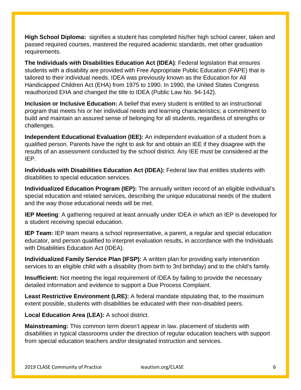**High School Diploma:** signifies a student has completed his/her high school career, taken and passed required courses, mastered the required academic standards, met other graduation requirements.

**The Individuals with Disabilities Education Act (IDEA)**: Federal legislation that ensures students with a disability are provided with Free Appropriate Public Education (FAPE) that is tailored to their individual needs. IDEA was previously known as the Education for All Handicapped Children Act (EHA) from 1975 to 1990. In 1990, the United States Congress reauthorized EHA and changed the title to IDEA (Public Law No. 94-142).

**Inclusion or Inclusive Education:** A belief that every student is entitled to an instructional program that meets his or her individual needs and learning characteristics; a commitment to build and maintain an assured sense of belonging for all students, regardless of strengths or challenges.

**Independent Educational Evaluation (IEE):** An independent evaluation of a student from a qualified person. Parents have the right to ask for and obtain an IEE if they disagree with the results of an assessment conducted by the school district. Any IEE must be considered at the IEP.

**Individuals with Disabilities Education Act (IDEA):** Federal law that entitles students with disabilities to special education services.

**Individualized Education Program (IEP):** The annually written record of an eligible individual's special education and related services, describing the unique educational needs of the student and the way those educational needs will be met.

**IEP Meeting**: A gathering required at least annually under IDEA in which an IEP is developed for a student receiving special education.

**IEP Team:** IEP team means a school representative, a parent, a regular and special education educator, and person qualified to interpret evaluation results, in accordance with the Individuals with Disabilities Education Act (IDEA).

**Individualized Family Service Plan (IFSP):** A written plan for providing early intervention services to an eligible child with a disability (from birth to 3rd birthday) and to the child's family.

**Insufficient:** Not meeting the legal requirement of IDEA by failing to provide the necessary detailed information and evidence to support a Due Process Complaint.

**Least Restrictive Environment (LRE):** A federal mandate stipulating that, to the maximum extent possible, students with disabilities be educated with their non-disabled peers.

**Local Education Area (LEA):** A school district.

**Mainstreaming:** This common term doesn't appear in law. placement of students with disabilities in typical classrooms under the direction of regular education teachers with support from special education teachers and/or designated instruction and services.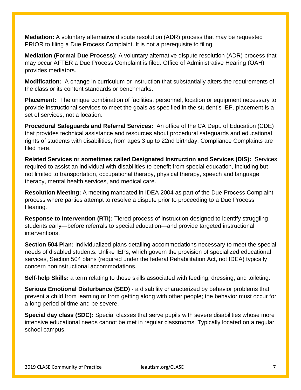**Mediation:** A voluntary alternative dispute resolution (ADR) process that may be requested PRIOR to filing a Due Process Complaint. It is not a prerequisite to filing.

**Mediation (Formal Due Process):** A voluntary alternative dispute resolution (ADR) process that may occur AFTER a Due Process Complaint is filed. Office of Administrative Hearing (OAH) provides mediators.

**Modification:** A change in curriculum or instruction that substantially alters the requirements of the class or its content standards or benchmarks.

**Placement:** The unique combination of facilities, personnel, location or equipment necessary to provide instructional services to meet the goals as specified in the student's IEP. placement is a set of services, not a location.

**Procedural Safeguards and Referral Services:** An office of the CA Dept. of Education (CDE) that provides technical assistance and resources about procedural safeguards and educational rights of students with disabilities, from ages 3 up to 22nd birthday. Compliance Complaints are filed here.

**Related Services or sometimes called Designated Instruction and Services (DIS):** Services required to assist an individual with disabilities to benefit from special education, including but not limited to transportation, occupational therapy, physical therapy, speech and language therapy, mental health services, and medical care.

**Resolution Meeting:** A meeting mandated in IDEA 2004 as part of the Due Process Complaint process where parties attempt to resolve a dispute prior to proceeding to a Due Process Hearing.

**Response to Intervention (RTI):** Tiered process of instruction designed to identify struggling students early—before referrals to special education—and provide targeted instructional interventions.

**Section 504 Plan:** Individualized plans detailing accommodations necessary to meet the special needs of disabled students. Unlike IEPs, which govern the provision of specialized educational services, Section 504 plans (required under the federal Rehabilitation Act, not IDEA) typically concern noninstructional accommodations.

**Self-help Skills:** a term relating to those skills associated with feeding, dressing, and toileting.

**Serious Emotional Disturbance (SED)** - a disability characterized by behavior problems that prevent a child from learning or from getting along with other people; the behavior must occur for a long period of time and be severe.

**Special day class (SDC):** Special classes that serve pupils with severe disabilities whose more intensive educational needs cannot be met in regular classrooms. Typically located on a regular school campus.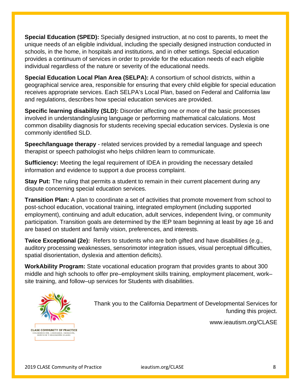**Special Education (SPED):** Specially designed instruction, at no cost to parents, to meet the unique needs of an eligible individual, including the specially designed instruction conducted in schools, in the home, in hospitals and institutions, and in other settings. Special education provides a continuum of services in order to provide for the education needs of each eligible individual regardless of the nature or severity of the educational needs.

**Special Education Local Plan Area (SELPA):** A consortium of school districts, within a geographical service area, responsible for ensuring that every child eligible for special education receives appropriate services. Each SELPA's Local Plan, based on Federal and California law and regulations, describes how special education services are provided.

**Specific learning disability (SLD):** Disorder affecting one or more of the basic processes involved in understanding/using language or performing mathematical calculations. Most common disability diagnosis for students receiving special education services. Dyslexia is one commonly identified SLD.

**Speech/language therapy** - related services provided by a remedial language and speech therapist or speech pathologist who helps children learn to communicate.

**Sufficiency:** Meeting the legal requirement of IDEA in providing the necessary detailed information and evidence to support a due process complaint.

**Stay Put:** The ruling that permits a student to remain in their current placement during any dispute concerning special education services.

**Transition Plan:** A plan to coordinate a set of activities that promote movement from school to post-school education, vocational training, integrated employment (including supported employment), continuing and adult education, adult services, independent living, or community participation. Transition goals are determined by the IEP team beginning at least by age 16 and are based on student and family vision, preferences, and interests.

**Twice Exceptional (2e):** Refers to students who are both gifted and have disabilities (e.g., auditory processing weaknesses, sensorimotor integration issues, visual perceptual difficulties, spatial disorientation, dyslexia and attention deficits).

**WorkAbility Program:** State vocational education program that provides grants to about 300 middle and high schools to offer pre–employment skills training, employment placement, work– site training, and follow–up services for Students with disabilities.



Thank you to the California Department of Developmental Services for funding this project.

www.ieautism.org/CLASE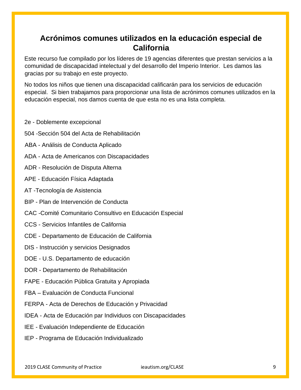#### **Acrónimos comunes utilizados en la educación especial de California**

Este recurso fue compilado por los líderes de 19 agencias diferentes que prestan servicios a la comunidad de discapacidad intelectual y del desarrollo del Imperio Interior. Les damos las gracias por su trabajo en este proyecto.

No todos los niños que tienen una discapacidad calificarán para los servicios de educación especial. Si bien trabajamos para proporcionar una lista de acrónimos comunes utilizados en la educación especial, nos damos cuenta de que esta no es una lista completa.

- 2e Doblemente excepcional
- 504 -Sección 504 del Acta de Rehabilitación
- ABA Análisis de Conducta Aplicado
- ADA Acta de Americanos con Discapacidades
- ADR Resolución de Disputa Alterna
- APE Educación Física Adaptada
- AT -Tecnología de Asistencia
- BIP Plan de Intervención de Conducta
- CAC -Comité Comunitario Consultivo en Educación Especial
- CCS Servicios Infantiles de California
- CDE Departamento de Educación de California
- DIS Instrucción y servicios Designados
- DOE U.S. Departamento de educación
- DOR Departamento de Rehabilitación
- FAPE Educación Pública Gratuita y Apropiada
- FBA Evaluación de Conducta Funcional
- FERPA Acta de Derechos de Educación y Privacidad
- IDEA Acta de Educación par Individuos con Discapacidades
- IEE Evaluación Independiente de Educación
- IEP Programa de Educación Individualizado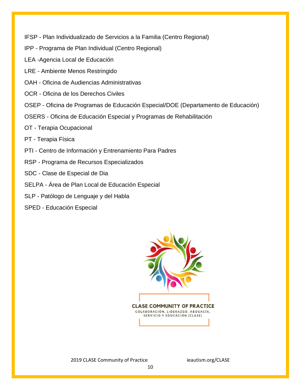IFSP - Plan Individualizado de Servicios a la Familia (Centro Regional)

- IPP Programa de Plan Individual (Centro Regional)
- LEA -Agencia Local de Educación
- LRE Ambiente Menos Restringido
- OAH Oficina de Audiencias Administrativas
- OCR Oficina de los Derechos Civiles
- OSEP Oficina de Programas de Educación Especial/DOE (Departamento de Educación)
- OSERS Oficina de Educación Especial y Programas de Rehabilitación
- OT Terapia Ocupacional
- PT Terapia Física
- PTI Centro de Información y Entrenamiento Para Padres
- RSP Programa de Recursos Especializados
- SDC Clase de Especial de Dia
- SELPA Área de Plan Local de Educación Especial
- SLP Patólogo de Lenguaje y del Habla
- SPED Educación Especial



2019 CLASE Community of Practice ieautism.org/CLASE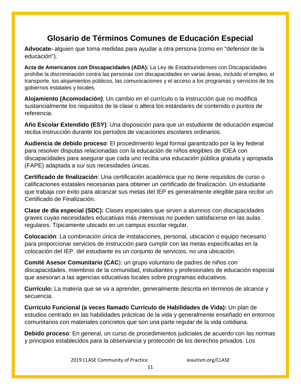### **Glosario de Términos Comunes de Educación Especial**

**Advocate-** alguien que toma medidas para ayudar a otra persona (como en "defensor de la educación").

**Acta de Americanos con Discapacidades (ADA):** La Ley de Estadounidenses con Discapacidades prohíbe la discriminación contra las personas con discapacidades en varias áreas, incluido el empleo, el transporte, los alojamientos públicos, las comunicaciones y el acceso a los programas y servicios de los gobiernos estatales y locales.

**Alojamiento (Acomodación)**: Un cambio en el currículo o la instrucción que no modifica sustancialmente los requisitos de la clase o altera los estándares de contenido o puntos de referencia.

**Año Escolar Extendido (ESY)**: Una disposición para que un estudiante de educación especial reciba instrucción durante los períodos de vacaciones escolares ordinarios.

**Audiencia de debido proceso**: El procedimiento legal formal garantizado por la ley federal para resolver disputas relacionadas con la educación de niños elegibles de IDEA con discapacidades para asegurar que cada uno reciba una educación pública gratuita y apropiada (FAPE) adaptada a su/ sus necesidades únicas.

**Certificado de finalización**: Una certificación académica que no tiene requisitos de curso o calificaciones estatales necesarias para obtener un certificado de finalización. Un estudiante que trabaja con éxito para alcanzar sus metas del IEP es generalmente elegible para recibir un Certificado de Finalización.

**Clase de día especial (SDC):** Clases especiales que sirven a alumnos con discapacidades graves cuyas necesidades educativas más intensivas no pueden satisfacerse en las aulas regulares. Típicamente ubicado en un campus escolar regular.

**Colocación**: La combinación única de instalaciones, personal, ubicación o equipo necesario para proporcionar servicios de instrucción para cumplir con las metas especificadas en la colocación del IEP. del estudiante es un conjunto de servicios, no una ubicación.

**Comité Asesor Comunitario (CAC**): un grupo voluntario de padres de niños con discapacidades, miembros de la comunidad, estudiantes y profesionales de educación especial que asesoran a las agencias educativas locales sobre programas educativos.

**Currículo:** La materia que se va a aprender, generalmente descrita en términos de alcance y secuencia.

**Currículo Funcional (a veces llamado Currículo de Habilidades de Vida):** Un plan de estudios centrado en las habilidades prácticas de la vida y generalmente enseñado en entornos comunitarios con materiales concretos que son una parte regular de la vida cotidiana.

**Debido proceso**: En general, un curso de procedimientos judiciales de acuerdo con las normas y principios establecidos para la observancia y protección de los derechos privados. Los

2019 CLASE Community of Practice ieautism.org/CLASE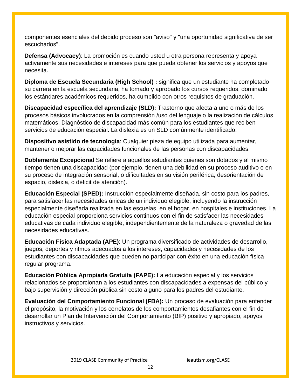componentes esenciales del debido proceso son "aviso" y "una oportunidad significativa de ser escuchados".

**Defensa (Advocacy)**: La promoción es cuando usted u otra persona representa y apoya activamente sus necesidades e intereses para que pueda obtener los servicios y apoyos que necesita.

**Diploma de Escuela Secundaria (High School) :** significa que un estudiante ha completado su carrera en la escuela secundaria, ha tomado y aprobado los cursos requeridos, dominado los estándares académicos requeridos, ha cumplido con otros requisitos de graduación.

**Discapacidad específica del aprendizaje (SLD):** Trastorno que afecta a uno o más de los procesos básicos involucrados en la comprensión /uso del lenguaje o la realización de cálculos matemáticos. Diagnóstico de discapacidad más común para los estudiantes que reciben servicios de educación especial. La dislexia es un SLD comúnmente identificado.

**Dispositivo asistido de tecnología**: Cualquier pieza de equipo utilizada para aumentar, mantener o mejorar las capacidades funcionales de las personas con discapacidades.

**Doblemente Excepcional** Se refiere a aquellos estudiantes quienes son dotados y al mismo tiempo tienen una discapacidad (por ejemplo, tienen una debilidad en su proceso auditivo o en su proceso de integración sensorial, o dificultades en su visión periférica, desorientación de espacio, dislexia, o déficit de atención).

**Educación Especial (SPED):** Instrucción especialmente diseñada, sin costo para los padres, para satisfacer las necesidades únicas de un individuo elegible, incluyendo la instrucción especialmente diseñada realizada en las escuelas, en el hogar, en hospitales e instituciones. La educación especial proporciona servicios continuos con el fin de satisfacer las necesidades educativas de cada individuo elegible, independientemente de la naturaleza o gravedad de las necesidades educativas.

**Educación Física Adaptada (APE)**: Un programa diversificado de actividades de desarrollo, juegos, deportes y ritmos adecuados a los intereses, capacidades y necesidades de los estudiantes con discapacidades que pueden no participar con éxito en una educación física regular programa.

**Educación Pública Apropiada Gratuita (FAPE):** La educación especial y los servicios relacionados se proporcionan a los estudiantes con discapacidades a expensas del público y bajo supervisión y dirección pública sin costo alguno para los padres del estudiante.

**Evaluación del Comportamiento Funcional (FBA):** Un proceso de evaluación para entender el propósito, la motivación y los correlatos de los comportamientos desafiantes con el fin de desarrollar un Plan de Intervención del Comportamiento (BIP) positivo y apropiado, apoyos instructivos y servicios.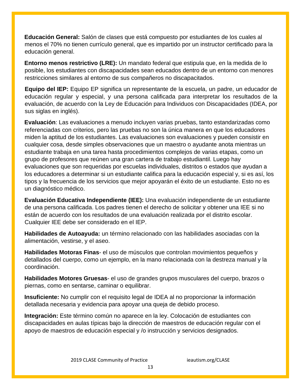**Educación General:** Salón de clases que está compuesto por estudiantes de los cuales al menos el 70% no tienen currículo general, que es impartido por un instructor certificado para la educación general.

**Entorno menos restrictivo (LRE):** Un mandato federal que estipula que, en la medida de lo posible, los estudiantes con discapacidades sean educados dentro de un entorno con menores restricciones similares al entorno de sus compañeros no discapacitados.

**Equipo del IEP:** Equipo EP significa un representante de la escuela, un padre, un educador de educación regular y especial, y una persona calificada para interpretar los resultados de la evaluación, de acuerdo con la Ley de Educación para Individuos con Discapacidades (IDEA, por sus siglas en inglés).

**Evaluación**: Las evaluaciones a menudo incluyen varias pruebas, tanto estandarizadas como referenciadas con criterios, pero las pruebas no son la única manera en que los educadores miden la aptitud de los estudiantes. Las evaluaciones son evaluaciones y pueden consistir en cualquier cosa, desde simples observaciones que un maestro o ayudante anota mientras un estudiante trabaja en una tarea hasta procedimientos complejos de varias etapas, como un grupo de profesores que reúnen una gran cartera de trabajo estudiantil. Luego hay evaluaciones que son requeridas por escuelas individuales, distritos o estados que ayudan a los educadores a determinar si un estudiante califica para la educación especial y, si es así, los tipos y la frecuencia de los servicios que mejor apoyarán el éxito de un estudiante. Esto no es un diagnóstico médico.

**Evaluación Educativa Independiente (IEE):** Una evaluación independiente de un estudiante de una persona calificada. Los padres tienen el derecho de solicitar y obtener una IEE si no están de acuerdo con los resultados de una evaluación realizada por el distrito escolar. Cualquier IEE debe ser considerado en el IEP.

**Habilidades de Autoayuda:** un término relacionado con las habilidades asociadas con la alimentación, vestirse, y el aseo.

**Habilidades Motoras Finas**- el uso de músculos que controlan movimientos pequeños y detallados del cuerpo, como un ejemplo, en la mano relacionada con la destreza manual y la coordinación.

**Habilidades Motores Gruesas**- el uso de grandes grupos musculares del cuerpo, brazos o piernas, como en sentarse, caminar o equilibrar.

**Insuficiente:** No cumplir con el requisito legal de IDEA al no proporcionar la información detallada necesaria y evidencia para apoyar una queja de debido proceso.

**Integración:** Este término común no aparece en la ley. Colocación de estudiantes con discapacidades en aulas típicas bajo la dirección de maestros de educación regular con el apoyo de maestros de educación especial y /o instrucción y servicios designados.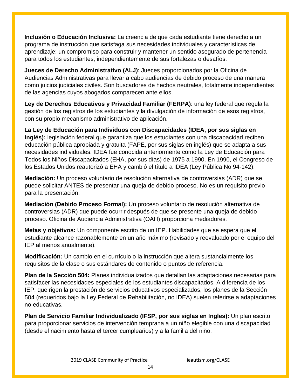**Inclusión o Educación Inclusiva:** La creencia de que cada estudiante tiene derecho a un programa de instrucción que satisfaga sus necesidades individuales y características de aprendizaje; un compromiso para construir y mantener un sentido asegurado de pertenencia para todos los estudiantes, independientemente de sus fortalezas o desafíos.

**Jueces de Derecho Administrativo (ALJ)**: Jueces proporcionados por la Oficina de Audiencias Administrativas para llevar a cabo audiencias de debido proceso de una manera como juicios judiciales civiles. Son buscadores de hechos neutrales, totalmente independientes de las agencias cuyos abogados comparecen ante ellos.

**Ley de Derechos Educativos y Privacidad Familiar (FERPA)**: una ley federal que regula la gestión de los registros de los estudiantes y la divulgación de información de esos registros, con su propio mecanismo administrativo de aplicación.

**La Ley de Educación para Individuos con Discapacidades (IDEA, por sus siglas en inglés):** legislación federal que garantiza que los estudiantes con una discapacidad reciben educación pública apropiada y gratuita (FAPE, por sus siglas en inglés) que se adapta a sus necesidades individuales. IDEA fue conocida anteriormente como la Ley de Educación para Todos los Niños Discapacitados (EHA, por sus días) de 1975 a 1990. En 1990, el Congreso de los Estados Unidos reautorizó a EHA y cambió el título a IDEA (Ley Pública No 94-142).

**Mediación:** Un proceso voluntario de resolución alternativa de controversias (ADR) que se puede solicitar ANTES de presentar una queja de debido proceso. No es un requisito previo para la presentación.

**Mediación (Debido Proceso Formal):** Un proceso voluntario de resolución alternativa de controversias (ADR) que puede ocurrir después de que se presente una queja de debido proceso. Oficina de Audiencia Administrativa (OAH) proporciona mediadores.

**Metas y objetivos:** Un componente escrito de un IEP. Habilidades que se espera que el estudiante alcance razonablemente en un año máximo (revisado y reevaluado por el equipo del IEP al menos anualmente).

**Modificación:** Un cambio en el currículo o la instrucción que altera sustancialmente los requisitos de la clase o sus estándares de contenido o puntos de referencia.

**Plan de la Sección 504:** Planes individualizados que detallan las adaptaciones necesarias para satisfacer las necesidades especiales de los estudiantes discapacitados. A diferencia de los IEP, que rigen la prestación de servicios educativos especializados, los planes de la Sección 504 (requeridos bajo la Ley Federal de Rehabilitación, no IDEA) suelen referirse a adaptaciones no educativas.

**Plan de Servicio Familiar Individualizado (IFSP, por sus siglas en Ingles):** Un plan escrito para proporcionar servicios de intervención temprana a un niño elegible con una discapacidad (desde el nacimiento hasta el tercer cumpleaños) y a la familia del niño.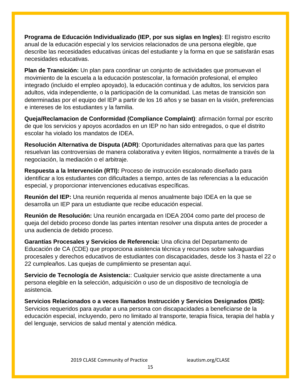**Programa de Educación Individualizado (IEP, por sus siglas en Ingles)**: El registro escrito anual de la educación especial y los servicios relacionados de una persona elegible, que describe las necesidades educativas únicas del estudiante y la forma en que se satisfarán esas necesidades educativas.

**Plan de Transición:** Un plan para coordinar un conjunto de actividades que promuevan el movimiento de la escuela a la educación postescolar, la formación profesional, el empleo integrado (incluido el empleo apoyado), la educación continua y de adultos, los servicios para adultos, vida independiente, o la participación de la comunidad. Las metas de transición son determinadas por el equipo del IEP a partir de los 16 años y se basan en la visión, preferencias e intereses de los estudiantes y la familia.

**Queja/Reclamacion de Conformidad (Compliance Complaint)**: afirmación formal por escrito de que los servicios y apoyos acordados en un IEP no han sido entregados, o que el distrito escolar ha violado los mandatos de IDEA.

**Resolución Alternativa de Disputa (ADR)**: Oportunidades alternativas para que las partes resuelvan las controversias de manera colaborativa y eviten litigios, normalmente a través de la negociación, la mediación o el arbitraje.

**Respuesta a la Intervención (RTI):** Proceso de instrucción escalonado diseñado para identificar a los estudiantes con dificultades a tiempo, antes de las referencias a la educación especial, y proporcionar intervenciones educativas específicas.

**Reunión del IEP:** Una reunión requerida al menos anualmente bajo IDEA en la que se desarrolla un IEP para un estudiante que recibe educación especial.

**Reunión de Resolución:** Una reunión encargada en IDEA 2004 como parte del proceso de queja del debido proceso donde las partes intentan resolver una disputa antes de proceder a una audiencia de debido proceso.

**Garantías Procesales y Servicios de Referencia:** Una oficina del Departamento de Educación de CA (CDE) que proporciona asistencia técnica y recursos sobre salvaguardias procesales y derechos educativos de estudiantes con discapacidades, desde los 3 hasta el 22 o 22 cumpleaños. Las quejas de cumplimiento se presentan aquí.

**Servicio de Tecnología de Asistencia:**: Cualquier servicio que asiste directamente a una persona elegible en la selección, adquisición o uso de un dispositivo de tecnología de asistencia.

**Servicios Relacionados o a veces llamados Instrucción y Servicios Designados (DIS):** Servicios requeridos para ayudar a una persona con discapacidades a beneficiarse de la educación especial, incluyendo, pero no limitado al transporte, terapia física, terapia del habla y del lenguaje, servicios de salud mental y atención médica.